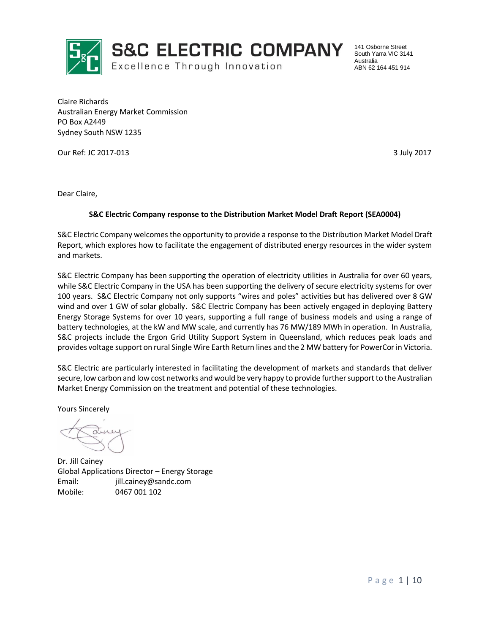

**S&C ELECTRIC COMPANY** 

Excellence Through Innovation

141 Osborne Street South Yarra VIC 3141 Australia ABN 62 164 451 914

Claire Richards Australian Energy Market Commission PO Box A2449 Sydney South NSW 1235

Our Ref: JC 2017-013 3 July 2017

Dear Claire,

#### **S&C Electric Company response to the Distribution Market Model Draft Report (SEA0004)**

S&C Electric Company welcomes the opportunity to provide a response to the Distribution Market Model Draft Report, which explores how to facilitate the engagement of distributed energy resources in the wider system and markets.

S&C Electric Company has been supporting the operation of electricity utilities in Australia for over 60 years, while S&C Electric Company in the USA has been supporting the delivery of secure electricity systems for over 100 years. S&C Electric Company not only supports "wires and poles" activities but has delivered over 8 GW wind and over 1 GW of solar globally. S&C Electric Company has been actively engaged in deploying Battery Energy Storage Systems for over 10 years, supporting a full range of business models and using a range of battery technologies, at the kW and MW scale, and currently has 76 MW/189 MWh in operation. In Australia, S&C projects include the Ergon Grid Utility Support System in Queensland, which reduces peak loads and provides voltage support on rural Single Wire Earth Return lines and the 2 MW battery for PowerCor in Victoria.

S&C Electric are particularly interested in facilitating the development of markets and standards that deliver secure, low carbon and low cost networks and would be very happy to provide further support to the Australian Market Energy Commission on the treatment and potential of these technologies.

Yours Sincerely

Dr. Jill Cainey Global Applications Director – Energy Storage Email: jill.cainey@sandc.com Mobile: 0467 001 102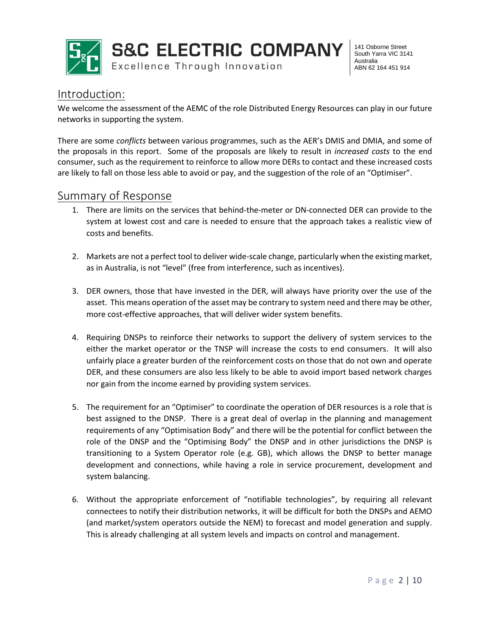

**S&C ELECTRIC COMPANY** 

Excellence Through Innovation

141 Osborne Street South Yarra VIC 3141 Australia ABN 62 164 451 914

# Introduction:

We welcome the assessment of the AEMC of the role Distributed Energy Resources can play in our future networks in supporting the system.

There are some *conflicts* between various programmes, such as the AER's DMIS and DMIA, and some of the proposals in this report. Some of the proposals are likely to result in *increased costs* to the end consumer, such as the requirement to reinforce to allow more DERs to contact and these increased costs are likely to fall on those less able to avoid or pay, and the suggestion of the role of an "Optimiser".

## Summary of Response

- 1. There are limits on the services that behind-the-meter or DN-connected DER can provide to the system at lowest cost and care is needed to ensure that the approach takes a realistic view of costs and benefits.
- 2. Markets are not a perfect tool to deliver wide-scale change, particularly when the existing market, as in Australia, is not "level" (free from interference, such as incentives).
- 3. DER owners, those that have invested in the DER, will always have priority over the use of the asset. This means operation of the asset may be contrary to system need and there may be other, more cost-effective approaches, that will deliver wider system benefits.
- 4. Requiring DNSPs to reinforce their networks to support the delivery of system services to the either the market operator or the TNSP will increase the costs to end consumers. It will also unfairly place a greater burden of the reinforcement costs on those that do not own and operate DER, and these consumers are also less likely to be able to avoid import based network charges nor gain from the income earned by providing system services.
- 5. The requirement for an "Optimiser" to coordinate the operation of DER resources is a role that is best assigned to the DNSP. There is a great deal of overlap in the planning and management requirements of any "Optimisation Body" and there will be the potential for conflict between the role of the DNSP and the "Optimising Body" the DNSP and in other jurisdictions the DNSP is transitioning to a System Operator role (e.g. GB), which allows the DNSP to better manage development and connections, while having a role in service procurement, development and system balancing.
- 6. Without the appropriate enforcement of "notifiable technologies", by requiring all relevant connectees to notify their distribution networks, it will be difficult for both the DNSPs and AEMO (and market/system operators outside the NEM) to forecast and model generation and supply. This is already challenging at all system levels and impacts on control and management.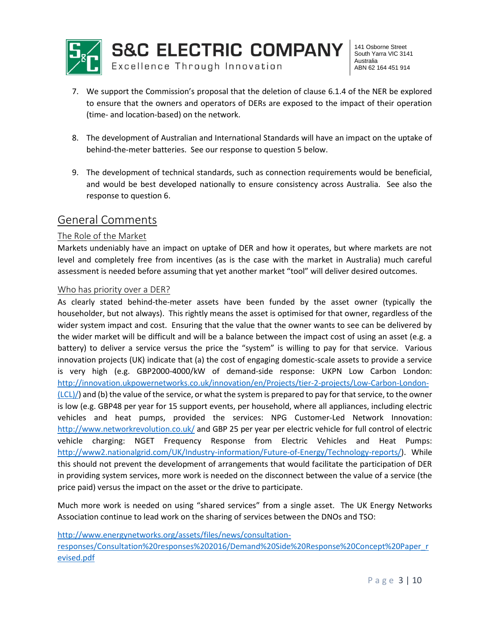

- 7. We support the Commission's proposal that the deletion of clause 6.1.4 of the NER be explored to ensure that the owners and operators of DERs are exposed to the impact of their operation (time- and location-based) on the network.
- 8. The development of Australian and International Standards will have an impact on the uptake of behind-the-meter batteries. See our response to question 5 below.
- 9. The development of technical standards, such as connection requirements would be beneficial, and would be best developed nationally to ensure consistency across Australia. See also the response to question 6.

## General Comments

### The Role of the Market

Markets undeniably have an impact on uptake of DER and how it operates, but where markets are not level and completely free from incentives (as is the case with the market in Australia) much careful assessment is needed before assuming that yet another market "tool" will deliver desired outcomes.

### Who has priority over a DER?

As clearly stated behind-the-meter assets have been funded by the asset owner (typically the householder, but not always). This rightly means the asset is optimised for that owner, regardless of the wider system impact and cost. Ensuring that the value that the owner wants to see can be delivered by the wider market will be difficult and will be a balance between the impact cost of using an asset (e.g. a battery) to deliver a service versus the price the "system" is willing to pay for that service. Various innovation projects (UK) indicate that (a) the cost of engaging domestic-scale assets to provide a service is very high (e.g. GBP2000-4000/kW of demand-side response: UKPN Low Carbon London: [http://innovation.ukpowernetworks.co.uk/innovation/en/Projects/tier-2-projects/Low-Carbon-London-](http://innovation.ukpowernetworks.co.uk/innovation/en/Projects/tier-2-projects/Low-Carbon-London-(LCL)/) [\(LCL\)/\)](http://innovation.ukpowernetworks.co.uk/innovation/en/Projects/tier-2-projects/Low-Carbon-London-(LCL)/) and (b) the value of the service, or what the system is prepared to pay for that service, to the owner is low (e.g. GBP48 per year for 15 support events, per household, where all appliances, including electric vehicles and heat pumps, provided the services: NPG Customer-Led Network Innovation: <http://www.networkrevolution.co.uk/> and GBP 25 per year per electric vehicle for full control of electric vehicle charging: NGET Frequency Response from Electric Vehicles and Heat Pumps: [http://www2.nationalgrid.com/UK/Industry-information/Future-of-Energy/Technology-reports/\)](http://www2.nationalgrid.com/UK/Industry-information/Future-of-Energy/Technology-reports/). While this should not prevent the development of arrangements that would facilitate the participation of DER in providing system services, more work is needed on the disconnect between the value of a service (the price paid) versus the impact on the asset or the drive to participate.

Much more work is needed on using "shared services" from a single asset. The UK Energy Networks Association continue to lead work on the sharing of services between the DNOs and TSO:

[http://www.energynetworks.org/assets/files/news/consultation-](http://www.energynetworks.org/assets/files/news/consultation-responses/Consultation%20responses%202016/Demand%20Side%20Response%20Concept%20Paper_revised.pdf)

[responses/Consultation%20responses%202016/Demand%20Side%20Response%20Concept%20Paper\\_r](http://www.energynetworks.org/assets/files/news/consultation-responses/Consultation%20responses%202016/Demand%20Side%20Response%20Concept%20Paper_revised.pdf) [evised.pdf](http://www.energynetworks.org/assets/files/news/consultation-responses/Consultation%20responses%202016/Demand%20Side%20Response%20Concept%20Paper_revised.pdf)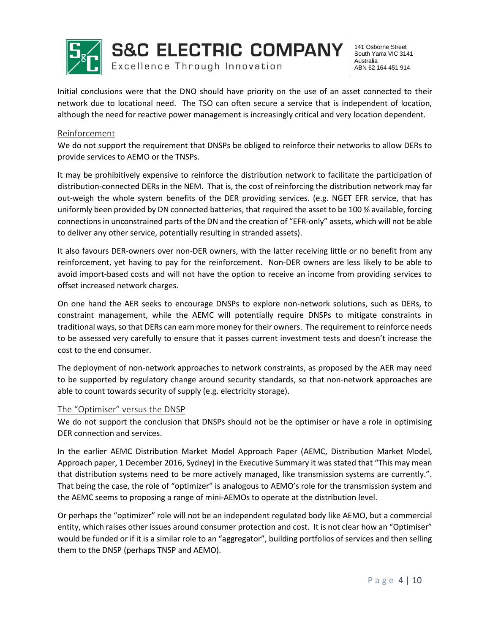

Initial conclusions were that the DNO should have priority on the use of an asset connected to their network due to locational need. The TSO can often secure a service that is independent of location, although the need for reactive power management is increasingly critical and very location dependent.

### Reinforcement

We do not support the requirement that DNSPs be obliged to reinforce their networks to allow DERs to provide services to AEMO or the TNSPs.

It may be prohibitively expensive to reinforce the distribution network to facilitate the participation of distribution-connected DERs in the NEM. That is, the cost of reinforcing the distribution network may far out-weigh the whole system benefits of the DER providing services. (e.g. NGET EFR service, that has uniformly been provided by DN connected batteries, that required the asset to be 100 % available, forcing connections in unconstrained parts of the DN and the creation of "EFR-only" assets, which will not be able to deliver any other service, potentially resulting in stranded assets).

It also favours DER-owners over non-DER owners, with the latter receiving little or no benefit from any reinforcement, yet having to pay for the reinforcement. Non-DER owners are less likely to be able to avoid import-based costs and will not have the option to receive an income from providing services to offset increased network charges.

On one hand the AER seeks to encourage DNSPs to explore non-network solutions, such as DERs, to constraint management, while the AEMC will potentially require DNSPs to mitigate constraints in traditional ways, so that DERs can earn more money for their owners. The requirement to reinforce needs to be assessed very carefully to ensure that it passes current investment tests and doesn't increase the cost to the end consumer.

The deployment of non-network approaches to network constraints, as proposed by the AER may need to be supported by regulatory change around security standards, so that non-network approaches are able to count towards security of supply (e.g. electricity storage).

#### The "Optimiser" versus the DNSP

We do not support the conclusion that DNSPs should not be the optimiser or have a role in optimising DER connection and services.

In the earlier AEMC Distribution Market Model Approach Paper (AEMC, Distribution Market Model, Approach paper, 1 December 2016, Sydney) in the Executive Summary it was stated that "This may mean that distribution systems need to be more actively managed, like transmission systems are currently.". That being the case, the role of "optimizer" is analogous to AEMO's role for the transmission system and the AEMC seems to proposing a range of mini-AEMOs to operate at the distribution level.

Or perhaps the "optimizer" role will not be an independent regulated body like AEMO, but a commercial entity, which raises other issues around consumer protection and cost. It is not clear how an "Optimiser" would be funded or if it is a similar role to an "aggregator", building portfolios of services and then selling them to the DNSP (perhaps TNSP and AEMO).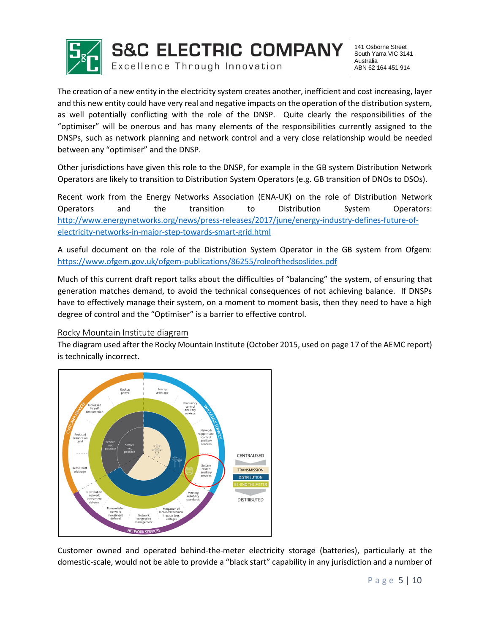

**S&C ELECTRIC COMPANY** Excellence Through Innovation

141 Osborne Street South Yarra VIC 3141 Australia ABN 62 164 451 914

The creation of a new entity in the electricity system creates another, inefficient and cost increasing, layer and this new entity could have very real and negative impacts on the operation of the distribution system, as well potentially conflicting with the role of the DNSP. Quite clearly the responsibilities of the "optimiser" will be onerous and has many elements of the responsibilities currently assigned to the DNSPs, such as network planning and network control and a very close relationship would be needed between any "optimiser" and the DNSP.

Other jurisdictions have given this role to the DNSP, for example in the GB system Distribution Network Operators are likely to transition to Distribution System Operators (e.g. GB transition of DNOs to DSOs).

Recent work from the Energy Networks Association (ENA-UK) on the role of Distribution Network Operators and the transition to Distribution System Operators: [http://www.energynetworks.org/news/press-releases/2017/june/energy-industry-defines-future-of](http://www.energynetworks.org/news/press-releases/2017/june/energy-industry-defines-future-of-electricity-networks-in-major-step-towards-smart-grid.html)[electricity-networks-in-major-step-towards-smart-grid.html](http://www.energynetworks.org/news/press-releases/2017/june/energy-industry-defines-future-of-electricity-networks-in-major-step-towards-smart-grid.html)

A useful document on the role of the Distribution System Operator in the GB system from Ofgem: <https://www.ofgem.gov.uk/ofgem-publications/86255/roleofthedsoslides.pdf>

Much of this current draft report talks about the difficulties of "balancing" the system, of ensuring that generation matches demand, to avoid the technical consequences of not achieving balance. If DNSPs have to effectively manage their system, on a moment to moment basis, then they need to have a high degree of control and the "Optimiser" is a barrier to effective control.

### Rocky Mountain Institute diagram

The diagram used after the Rocky Mountain Institute (October 2015, used on page 17 of the AEMC report) is technically incorrect.



Customer owned and operated behind-the-meter electricity storage (batteries), particularly at the domestic-scale, would not be able to provide a "black start" capability in any jurisdiction and a number of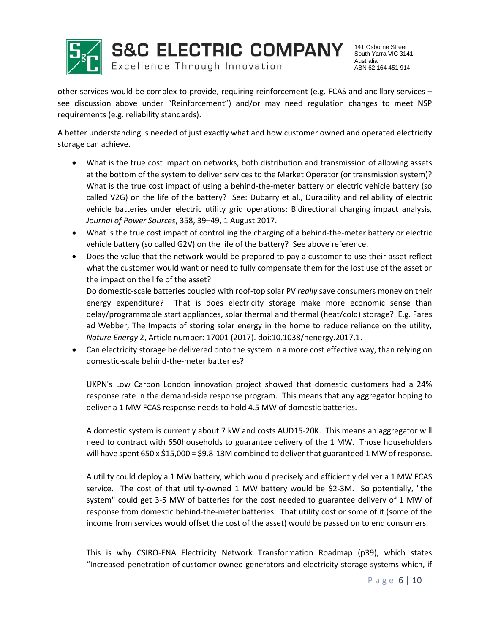

other services would be complex to provide, requiring reinforcement (e.g. FCAS and ancillary services – see discussion above under "Reinforcement") and/or may need regulation changes to meet NSP requirements (e.g. reliability standards).

A better understanding is needed of just exactly what and how customer owned and operated electricity storage can achieve.

- What is the true cost impact on networks, both distribution and transmission of allowing assets at the bottom of the system to deliver services to the Market Operator (or transmission system)? What is the true cost impact of using a behind-the-meter battery or electric vehicle battery (so called V2G) on the life of the battery? See: Dubarry et al., Durability and reliability of electric vehicle batteries under electric utility grid operations: Bidirectional charging impact analysis*, Journal of Power Sources*, 358, 39–49, 1 August 2017.
- What is the true cost impact of controlling the charging of a behind-the-meter battery or electric vehicle battery (so called G2V) on the life of the battery? See above reference.
- Does the value that the network would be prepared to pay a customer to use their asset reflect what the customer would want or need to fully compensate them for the lost use of the asset or the impact on the life of the asset?

Do domestic-scale batteries coupled with roof-top solar PV *really* save consumers money on their energy expenditure? That is does electricity storage make more economic sense than delay/programmable start appliances, solar thermal and thermal (heat/cold) storage? E.g. Fares ad Webber, The Impacts of storing solar energy in the home to reduce reliance on the utility, *Nature Energy* 2, Article number: 17001 (2017). doi:10.1038/nenergy.2017.1.

 Can electricity storage be delivered onto the system in a more cost effective way, than relying on domestic-scale behind-the-meter batteries?

UKPN's Low Carbon London innovation project showed that domestic customers had a 24% response rate in the demand-side response program. This means that any aggregator hoping to deliver a 1 MW FCAS response needs to hold 4.5 MW of domestic batteries.

A domestic system is currently about 7 kW and costs AUD15-20K. This means an aggregator will need to contract with 650households to guarantee delivery of the 1 MW. Those householders will have spent 650 x \$15,000 = \$9.8-13M combined to deliver that guaranteed 1 MW of response.

A utility could deploy a 1 MW battery, which would precisely and efficiently deliver a 1 MW FCAS service. The cost of that utility-owned 1 MW battery would be \$2-3M. So potentially, "the system" could get 3-5 MW of batteries for the cost needed to guarantee delivery of 1 MW of response from domestic behind-the-meter batteries. That utility cost or some of it (some of the income from services would offset the cost of the asset) would be passed on to end consumers.

This is why CSIRO-ENA Electricity Network Transformation Roadmap (p39), which states "Increased penetration of customer owned generators and electricity storage systems which, if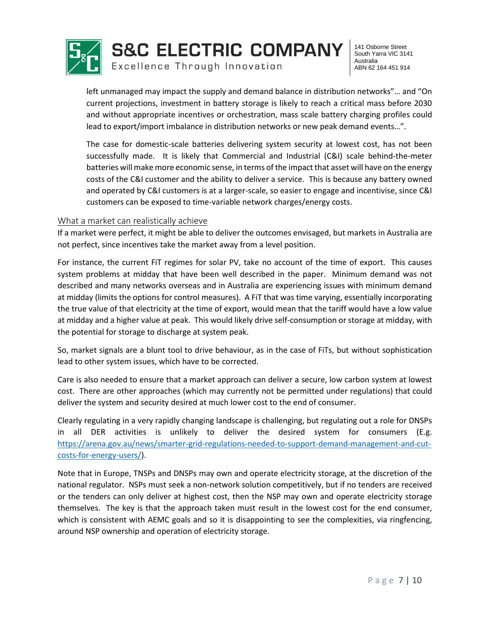

left unmanaged may impact the supply and demand balance in distribution networks"… and "On current projections, investment in battery storage is likely to reach a critical mass before 2030 and without appropriate incentives or orchestration, mass scale battery charging profiles could lead to export/import imbalance in distribution networks or new peak demand events…".

The case for domestic-scale batteries delivering system security at lowest cost, has not been successfully made. It is likely that Commercial and Industrial (C&I) scale behind-the-meter batteries will make more economic sense, in terms of the impact that asset will have on the energy costs of the C&I customer and the ability to deliver a service. This is because any battery owned and operated by C&I customers is at a larger-scale, so easier to engage and incentivise, since C&I customers can be exposed to time-variable network charges/energy costs.

### What a market can realistically achieve

If a market were perfect, it might be able to deliver the outcomes envisaged, but markets in Australia are not perfect, since incentives take the market away from a level position.

For instance, the current FiT regimes for solar PV, take no account of the time of export. This causes system problems at midday that have been well described in the paper. Minimum demand was not described and many networks overseas and in Australia are experiencing issues with minimum demand at midday (limits the options for control measures). A FiT that was time varying, essentially incorporating the true value of that electricity at the time of export, would mean that the tariff would have a low value at midday and a higher value at peak. This would likely drive self-consumption or storage at midday, with the potential for storage to discharge at system peak.

So, market signals are a blunt tool to drive behaviour, as in the case of FiTs, but without sophistication lead to other system issues, which have to be corrected.

Care is also needed to ensure that a market approach can deliver a secure, low carbon system at lowest cost. There are other approaches (which may currently not be permitted under regulations) that could deliver the system and security desired at much lower cost to the end of consumer.

Clearly regulating in a very rapidly changing landscape is challenging, but regulating out a role for DNSPs in all DER activities is unlikely to deliver the desired system for consumers (E.g. [https://arena.gov.au/news/smarter-grid-regulations-needed-to-support-demand-management-and-cut](https://arena.gov.au/news/smarter-grid-regulations-needed-to-support-demand-management-and-cut-costs-for-energy-users/)[costs-for-energy-users/\)](https://arena.gov.au/news/smarter-grid-regulations-needed-to-support-demand-management-and-cut-costs-for-energy-users/).

Note that in Europe, TNSPs and DNSPs may own and operate electricity storage, at the discretion of the national regulator. NSPs must seek a non-network solution competitively, but if no tenders are received or the tenders can only deliver at highest cost, then the NSP may own and operate electricity storage themselves. The key is that the approach taken must result in the lowest cost for the end consumer, which is consistent with AEMC goals and so it is disappointing to see the complexities, via ringfencing, around NSP ownership and operation of electricity storage.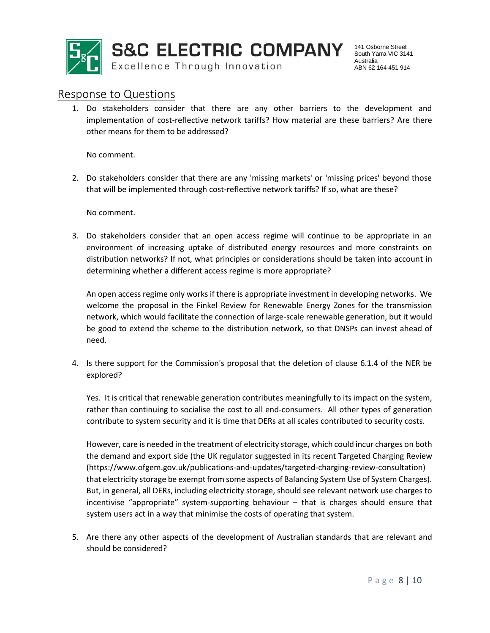

## Response to Questions

1. Do stakeholders consider that there are any other barriers to the development and implementation of cost-reflective network tariffs? How material are these barriers? Are there other means for them to be addressed?

No comment.

2. Do stakeholders consider that there are any 'missing markets' or 'missing prices' beyond those that will be implemented through cost-reflective network tariffs? If so, what are these?

No comment.

3. Do stakeholders consider that an open access regime will continue to be appropriate in an environment of increasing uptake of distributed energy resources and more constraints on distribution networks? If not, what principles or considerations should be taken into account in determining whether a different access regime is more appropriate?

An open access regime only works if there is appropriate investment in developing networks. We welcome the proposal in the Finkel Review for Renewable Energy Zones for the transmission network, which would facilitate the connection of large-scale renewable generation, but it would be good to extend the scheme to the distribution network, so that DNSPs can invest ahead of need.

4. Is there support for the Commission's proposal that the deletion of clause 6.1.4 of the NER be explored?

Yes. It is critical that renewable generation contributes meaningfully to its impact on the system, rather than continuing to socialise the cost to all end-consumers. All other types of generation contribute to system security and it is time that DERs at all scales contributed to security costs.

However, care is needed in the treatment of electricity storage, which could incur charges on both the demand and export side (the UK regulator suggested in its recent Targeted Charging Review (https://www.ofgem.gov.uk/publications-and-updates/targeted-charging-review-consultation) that electricity storage be exempt from some aspects of Balancing System Use of System Charges). But, in general, all DERs, including electricity storage, should see relevant network use charges to incentivise "appropriate" system-supporting behaviour – that is charges should ensure that system users act in a way that minimise the costs of operating that system.

5. Are there any other aspects of the development of Australian standards that are relevant and should be considered?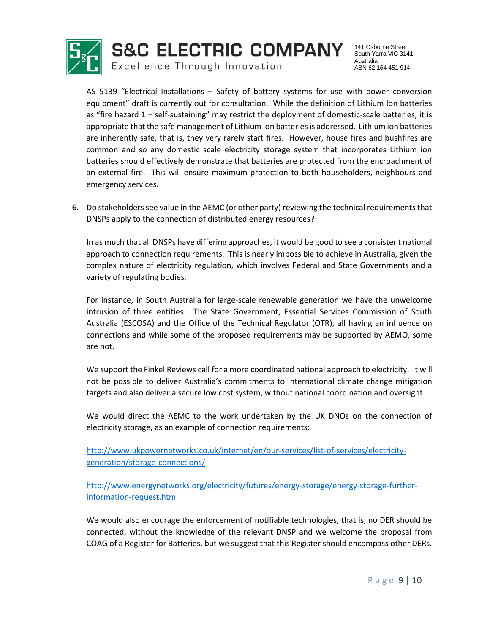

AS 5139 "Electrical Installations – Safety of battery systems for use with power conversion equipment" draft is currently out for consultation. While the definition of Lithium Ion batteries as "fire hazard 1 – self-sustaining" may restrict the deployment of domestic-scale batteries, it is appropriate that the safe management of Lithium ion batteries is addressed. Lithium ion batteries are inherently safe, that is, they very rarely start fires. However, house fires and bushfires are common and so any domestic scale electricity storage system that incorporates Lithium ion batteries should effectively demonstrate that batteries are protected from the encroachment of an external fire. This will ensure maximum protection to both householders, neighbours and emergency services.

6. Do stakeholders see value in the AEMC (or other party) reviewing the technical requirements that DNSPs apply to the connection of distributed energy resources?

In as much that all DNSPs have differing approaches, it would be good to see a consistent national approach to connection requirements. This is nearly impossible to achieve in Australia, given the complex nature of electricity regulation, which involves Federal and State Governments and a variety of regulating bodies.

For instance, in South Australia for large-scale renewable generation we have the unwelcome intrusion of three entities: The State Government, Essential Services Commission of South Australia (ESCOSA) and the Office of the Technical Regulator (OTR), all having an influence on connections and while some of the proposed requirements may be supported by AEMO, some are not.

We support the Finkel Reviews call for a more coordinated national approach to electricity. It will not be possible to deliver Australia's commitments to international climate change mitigation targets and also deliver a secure low cost system, without national coordination and oversight.

We would direct the AEMC to the work undertaken by the UK DNOs on the connection of electricity storage, as an example of connection requirements:

[http://www.ukpowernetworks.co.uk/internet/en/our-services/list-of-services/electricity](http://www.ukpowernetworks.co.uk/internet/en/our-services/list-of-services/electricity-generation/storage-connections/)[generation/storage-connections/](http://www.ukpowernetworks.co.uk/internet/en/our-services/list-of-services/electricity-generation/storage-connections/)

[http://www.energynetworks.org/electricity/futures/energy-storage/energy-storage-further](http://www.energynetworks.org/electricity/futures/energy-storage/energy-storage-further-information-request.html)[information-request.html](http://www.energynetworks.org/electricity/futures/energy-storage/energy-storage-further-information-request.html)

We would also encourage the enforcement of notifiable technologies, that is, no DER should be connected, without the knowledge of the relevant DNSP and we welcome the proposal from COAG of a Register for Batteries, but we suggest that this Register should encompass other DERs.